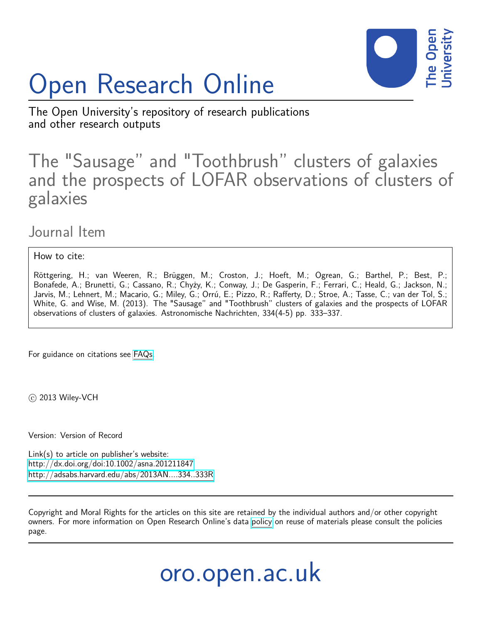

# Open Research Online

The Open University's repository of research publications and other research outputs

# The "Sausage" and "Toothbrush" clusters of galaxies and the prospects of LOFAR observations of clusters of galaxies

## Journal Item

## How to cite:

Röttgering, H.; van Weeren, R.; Brüggen, M.; Croston, J.; Hoeft, M.; Ogrean, G.; Barthel, P.; Best, P.; Bonafede, A.; Brunetti, G.; Cassano, R.; Chyży, K.; Conway, J.; De Gasperin, F.; Ferrari, C.; Heald, G.; Jackson, N.; Jarvis, M.; Lehnert, M.; Macario, G.; Miley, G.; Orrú, E.; Pizzo, R.; Rafferty, D.; Stroe, A.; Tasse, C.; van der Tol, S.; White, G. and Wise, M. (2013). The "Sausage" and "Toothbrush" clusters of galaxies and the prospects of LOFAR observations of clusters of galaxies. Astronomische Nachrichten, 334(4-5) pp. 333–337.

For guidance on citations see [FAQs.](http://oro.open.ac.uk/help/helpfaq.html)

 $\circled{c}$  2013 Wiley-VCH

Version: Version of Record

Link(s) to article on publisher's website: <http://dx.doi.org/doi:10.1002/asna.201211847> <http://adsabs.harvard.edu/abs/2013AN....334..333R>

Copyright and Moral Rights for the articles on this site are retained by the individual authors and/or other copyright owners. For more information on Open Research Online's data [policy](http://oro.open.ac.uk/policies.html) on reuse of materials please consult the policies page.

oro.open.ac.uk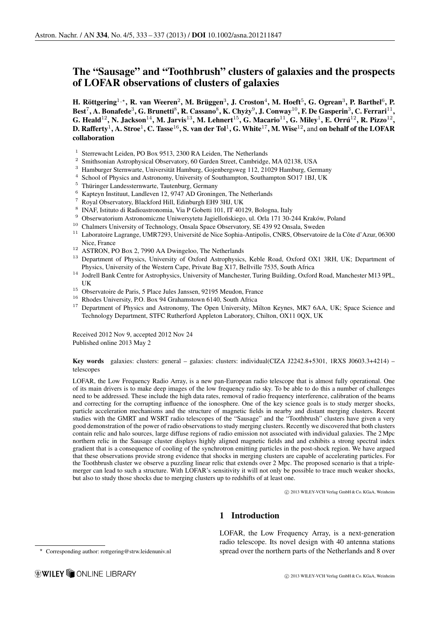## The "Sausage" and "Toothbrush" clusters of galaxies and the prospects of LOFAR observations of clusters of galaxies

H. Röttgering $^{1,\star}$ , R. van Weeren $^{2}$ , M. Brüggen $^{3}$ , J. Croston $^{4}$ , M. Hoeft $^{5}$ , G. Ogrean $^{3}$ , P. Barthel $^{6}$ , P. Best<sup>7</sup>, A. Bonafede<sup>3</sup>, G. Brunetti<sup>8</sup>, R. Cassano<sup>8</sup>, K. Chyży<sup>9</sup>, J. Conway<sup>10</sup>, F. De Gasperin<sup>3</sup>, C. Ferrari<sup>11</sup>, G. Heald<sup>12</sup>, N. Jackson<sup>14</sup>, M. Jarvis<sup>13</sup>, M. Lehnert<sup>15</sup>, G. Macario<sup>11</sup>, G. Miley<sup>1</sup>, E. Orrú<sup>12</sup>, R. Pizzo<sup>12</sup>, D. Rafferty<sup>1</sup>, A. Stroe<sup>1</sup>, C. Tasse<sup>16</sup>, S. van der Tol<sup>1</sup>, G. White<sup>17</sup>, M. Wise<sup>12</sup>, and on behalf of the LOFAR collaboration

- <sup>1</sup> Sterrewacht Leiden, PO Box 9513, 2300 RA Leiden, The Netherlands
- <sup>2</sup> Smithsonian Astrophysical Observatory, 60 Garden Street, Cambridge, MA 02138, USA<br><sup>3</sup> Hamburger Sternwerts, Universität Hamburg, Goianbargawaz 112, 21020 Hamburg, Gor
- <sup>3</sup> Hamburger Sternwarte, Universitat Hamburg, Gojenbergsweg 112, 21029 Hamburg, Germany ¨
- <sup>4</sup> School of Physics and Astronomy, University of Southampton, Southampton SO17 1BJ, UK
- <sup>5</sup> Thüringer Landessternwarte, Tautenburg, Germany <sup>6</sup> Kontaur Instituut, Landlauen 12, 0747 AD Groning
- <sup>6</sup> Kapteyn Instituut, Landleven 12, 9747 AD Groningen, The Netherlands<br>
<sup>7</sup> Ravel Observatory, Blaskford Hill, Edinburgh EU0, 2111 LV
- <sup>7</sup> Royal Observatory, Blackford Hill, Edinburgh EH9 3HJ, UK
- <sup>8</sup> INAF, Istituto di Radioastronomia, Via P Gobetti 101, IT 40129, Bologna, Italy<br><sup>9</sup> Observatorium Astronomicrae Universitate Issielleáskiego, ul. Orle 171.20.2
- Obserwatorium Astronomiczne Uniwersytetu Jagiellońskiego, ul. Orla 171 30-244 Kraków, Poland
- <sup>10</sup> Chalmers University of Technology, Onsala Space Observatory, SE 439 92 Onsala, Sweden
- <sup>11</sup> Laboratoire Lagrange, UMR7293, Université de Nice Sophia-Antipolis, CNRS, Observatoire de la Côte d'Azur, 06300 Nice, France
- <sup>12</sup> ASTRON, PO Box 2, 7990 AA Dwingeloo, The Netherlands
- <sup>13</sup> Department of Physics, University of Oxford Astrophysics, Keble Road, Oxford OX1 3RH, UK; Department of Physics, University of the Western Cape, Private Bag X17, Bellville 7535, South Africa
- <sup>14</sup> Jodrell Bank Centre for Astrophysics, University of Manchester, Turing Building, Oxford Road, Manchester M13 9PL, **IK**
- <sup>15</sup> Observatoire de Paris, 5 Place Jules Janssen, 92195 Meudon, France
- <sup>16</sup> Rhodes University, P.O. Box 94 Grahamstown 6140, South Africa
- <sup>17</sup> Department of Physics and Astronomy, The Open University, Milton Keynes, MK7 6AA, UK; Space Science and Technology Department, STFC Rutherford Appleton Laboratory, Chilton, OX11 0QX, UK

Received 2012 Nov 9, accepted 2012 Nov 24 Published online 2013 May 2

Key words galaxies: clusters: general – galaxies: clusters: individual(CIZA J2242.8+5301, 1RXS J0603.3+4214) – telescopes

LOFAR, the Low Frequency Radio Array, is a new pan-European radio telescope that is almost fully operational. One of its main drivers is to make deep images of the low frequency radio sky. To be able to do this a number of challenges need to be addressed. These include the high data rates, removal of radio frequency interference, calibration of the beams and correcting for the corrupting influence of the ionosphere. One of the key science goals is to study merger shocks, particle acceleration mechanisms and the structure of magnetic fields in nearby and distant merging clusters. Recent studies with the GMRT and WSRT radio telescopes of the "Sausage" and the "Toothbrush" clusters have given a very good demonstration of the power of radio observations to study merging clusters. Recently we discovered that both clusters contain relic and halo sources, large diffuse regions of radio emission not associated with individual galaxies. The 2 Mpc northern relic in the Sausage cluster displays highly aligned magnetic fields and and exhibits a strong spectral index gradient that is a consequence of cooling of the synchrotron emitting particles in the post-shock region. We have argued that these observations provide strong evidence that shocks in merging clusters are capable of accelerating particles. For the Toothbrush cluster we observe a puzzling linear relic that extends over 2 Mpc. The proposed scenario is that a triplemerger can lead to such a structure. With LOFAR's sensitivity it will not only be possible to trace much weaker shocks, but also to study those shocks due to merging clusters up to redshifts of at least one.

-c 2013 WILEY-VCH Verlag GmbH & Co. KGaA, Weinheim

#### 1 Introduction

LOFAR, the Low Frequency Array, is a next-generation radio telescope. Its novel design with 40 antenna stations spread over the northern parts of the Netherlands and 8 over

<sup>-</sup> Corresponding author: rottgering@strw.leidenuniv.nl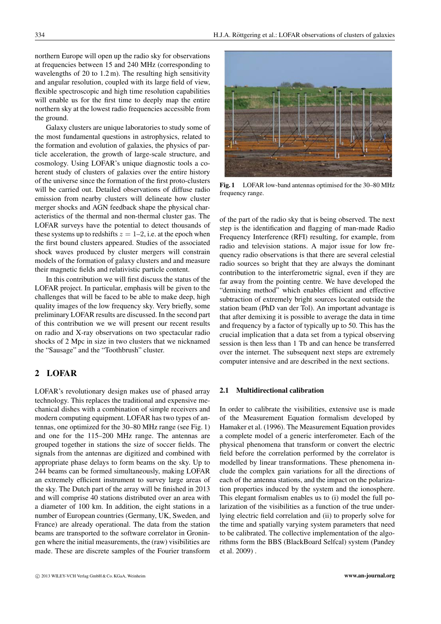northern Europe will open up the radio sky for observations at frequencies between 15 and 240 MHz (corresponding to wavelengths of 20 to 1.2 m). The resulting high sensitivity and angular resolution, coupled with its large field of view, flexible spectroscopic and high time resolution capabilities will enable us for the first time to deeply map the entire northern sky at the lowest radio frequencies accessible from the ground.

Galaxy clusters are unique laboratories to study some of the most fundamental questions in astrophysics, related to the formation and evolution of galaxies, the physics of particle acceleration, the growth of large-scale structure, and cosmology. Using LOFAR's unique diagnostic tools a coherent study of clusters of galaxies over the entire history of the universe since the formation of the first proto-clusters will be carried out. Detailed observations of diffuse radio emission from nearby clusters will delineate how cluster merger shocks and AGN feedback shape the physical characteristics of the thermal and non-thermal cluster gas. The LOFAR surveys have the potential to detect thousands of these systems up to redshifts  $z = 1-2$ , i.e. at the epoch when the first bound clusters appeared. Studies of the associated shock waves produced by cluster mergers will constrain models of the formation of galaxy clusters and and measure their magnetic fields and relativistic particle content.

In this contribution we will first discuss the status of the LOFAR project. In particular, emphasis will be given to the challenges that will be faced to be able to make deep, high quality images of the low frequency sky. Very briefly, some preliminary LOFAR results are discussed. In the second part of this contribution we we will present our recent results on radio and X-ray observations on two spectacular radio shocks of 2 Mpc in size in two clusters that we nicknamed the "Sausage" and the "Toothbrush" cluster.

#### 2 LOFAR

LOFAR's revolutionary design makes use of phased array technology. This replaces the traditional and expensive mechanical dishes with a combination of simple receivers and modern computing equipment. LOFAR has two types of antennas, one optimized for the 30–80 MHz range (see Fig. 1) and one for the 115–200 MHz range. The antennas are grouped together in stations the size of soccer fields. The signals from the antennas are digitized and combined with appropriate phase delays to form beams on the sky. Up to 244 beams can be formed simultaneously, making LOFAR an extremely efficient instrument to survey large areas of the sky. The Dutch part of the array will be finished in 2013 and will comprise 40 stations distributed over an area with a diameter of 100 km. In addition, the eight stations in a number of European countries (Germany, UK, Sweden, and France) are already operational. The data from the station beams are transported to the software correlator in Groningen where the initial measurements, the (raw) visibilities are made. These are discrete samples of the Fourier transform



Fig. 1 LOFAR low-band antennas optimised for the 30–80 MHz frequency range.

of the part of the radio sky that is being observed. The next step is the identification and flagging of man-made Radio Frequency Interference (RFI) resulting, for example, from radio and television stations. A major issue for low frequency radio observations is that there are several celestial radio sources so bright that they are always the dominant contribution to the interferometric signal, even if they are far away from the pointing centre. We have developed the "demixing method" which enables efficient and effective subtraction of extremely bright sources located outside the station beam (PhD van der Tol). An important advantage is that after demixing it is possible to average the data in time and frequency by a factor of typically up to 50. This has the crucial implication that a data set from a typical observing session is then less than 1 Tb and can hence be transferred over the internet. The subsequent next steps are extremely computer intensive and are described in the next sections.

#### 2.1 Multidirectional calibration

In order to calibrate the visibilities, extensive use is made of the Measurement Equation formalism developed by Hamaker et al. (1996). The Measurement Equation provides a complete model of a generic interferometer. Each of the physical phenomena that transform or convert the electric field before the correlation performed by the correlator is modelled by linear transformations. These phenomena include the complex gain variations for all the directions of each of the antenna stations, and the impact on the polarization properties induced by the system and the ionosphere. This elegant formalism enables us to (i) model the full polarization of the visibilities as a function of the true underlying electric field correlation and (ii) to properly solve for the time and spatially varying system parameters that need to be calibrated. The collective implementation of the algorithms form the BBS (BlackBoard Selfcal) system (Pandey et al. 2009) .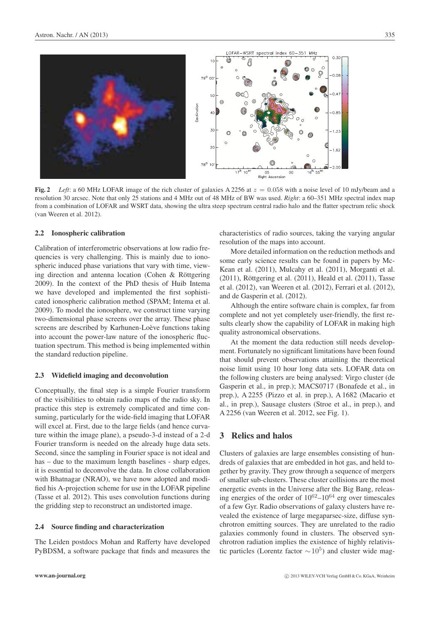

Fig. 2 *Left*: a 60 MHz LOFAR image of the rich cluster of galaxies A 2256 at  $z = 0.058$  with a noise level of 10 mJy/beam and a resolution 30 arcsec. Note that only 25 stations and 4 MHz out of 48 MHz of BW was used. *Right*: a 60–351 MHz spectral index map from a combination of LOFAR and WSRT data, showing the ultra steep spectrum central radio halo and the flatter spectrum relic shock (van Weeren et al. 2012).

#### 2.2 Ionospheric calibration

Calibration of interferometric observations at low radio frequencies is very challenging. This is mainly due to ionospheric induced phase variations that vary with time, viewing direction and antenna location (Cohen  $& Röttgering$ 2009). In the context of the PhD thesis of Huib Intema we have developed and implemented the first sophisticated ionospheric calibration method (SPAM; Intema et al. 2009). To model the ionosphere, we construct time varying two-dimensional phase screens over the array. These phase screens are described by Karhunen-Loève functions taking into account the power-law nature of the ionospheric fluctuation spectrum. This method is being implemented within the standard reduction pipeline.

#### 2.3 Widefield imaging and deconvolution

Conceptually, the final step is a simple Fourier transform of the visibilities to obtain radio maps of the radio sky. In practice this step is extremely complicated and time consuming, particularly for the wide-field imaging that LOFAR will excel at. First, due to the large fields (and hence curvature within the image plane), a pseudo-3-d instead of a 2-d Fourier transform is needed on the already huge data sets. Second, since the sampling in Fourier space is not ideal and has – due to the maximum length baselines - sharp edges, it is essential to deconvolve the data. In close collaboration with Bhatnagar (NRAO), we have now adopted and modified his A-projection scheme for use in the LOFAR pipeline (Tasse et al. 2012). This uses convolution functions during the gridding step to reconstruct an undistorted image.

#### 2.4 Source finding and characterization

The Leiden postdocs Mohan and Rafferty have developed PyBDSM, a software package that finds and measures the characteristics of radio sources, taking the varying angular resolution of the maps into account.

More detailed information on the reduction methods and some early science results can be found in papers by Mc-Kean et al. (2011), Mulcahy et al. (2011), Morganti et al.  $(2011)$ , Röttgering et al.  $(2011)$ , Heald et al.  $(2011)$ , Tasse et al. (2012), van Weeren et al. (2012), Ferrari et al. (2012), and de Gasperin et al. (2012).

Although the entire software chain is complex, far from complete and not yet completely user-friendly, the first results clearly show the capability of LOFAR in making high quality astronomical observations.

At the moment the data reduction still needs development. Fortunately no significant limitations have been found that should prevent observations attaining the theoretical noise limit using 10 hour long data sets. LOFAR data on the following clusters are being analysed: Virgo cluster (de Gasperin et al., in prep.); MACS0717 (Bonafede et al., in prep.), A 2255 (Pizzo et al. in prep.), A 1682 (Macario et al., in prep.), Sausage clusters (Stroe et al., in prep.), and A 2256 (van Weeren et al. 2012, see Fig. 1).

#### 3 Relics and halos

Clusters of galaxies are large ensembles consisting of hundreds of galaxies that are embedded in hot gas, and held together by gravity. They grow through a sequence of mergers of smaller sub-clusters. These cluster collisions are the most energetic events in the Universe after the Big Bang, releasing energies of the order of  $10^{62}$ – $10^{64}$  erg over timescales of a few Gyr. Radio observations of galaxy clusters have revealed the existence of large megaparsec-size, diffuse synchrotron emitting sources. They are unrelated to the radio galaxies commonly found in clusters. The observed synchrotron radiation implies the existence of highly relativistic particles (Lorentz factor  $\sim$ 10<sup>5</sup>) and cluster wide mag-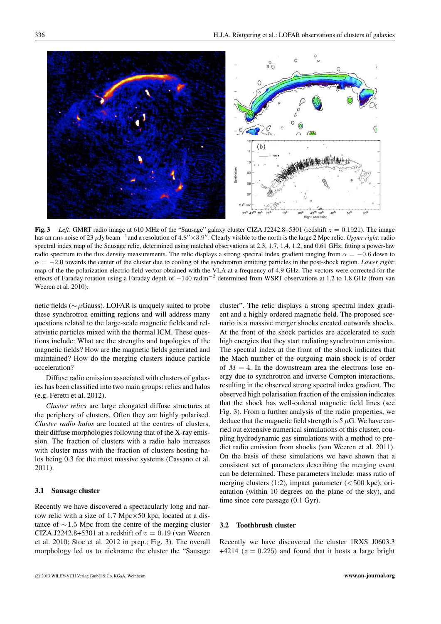

Fig. 3 *Left*: GMRT radio image at 610 MHz of the "Sausage" galaxy cluster CIZA J2242.8+5301 (redshift  $z = 0.1921$ ). The image has an rms noise of 23 <sup>μ</sup>Jy beam−<sup>1</sup>and a resolution of <sup>4</sup>.8×3.9. Clearly visible to the north is the large 2 Mpc relic. *Upper right*: radio spectral index map of the Sausage relic, determined using matched observations at 2.3, 1.7, 1.4, 1.2, and 0.61 GHz, fitting a power-law radio spectrum to the flux density measurements. The relic displays a strong spectral index gradient ranging from  $\alpha = -0.6$  down to  $\alpha = -2.0$  towards the center of the cluster due to cooling of the synchrotron emitting particles in the post-shock region. *Lower right*: map of the the polarization electric field vector obtained with the VLA at a frequency of 4.9 GHz. The vectors were corrected for the effects of Faraday rotation using a Faraday depth of  $-140$  rad m<sup>-2</sup> determined from WSRT observations at 1.2 to 1.8 GHz (from van Weeren et al. 2010).

netic fields ( $\sim \mu$ Gauss). LOFAR is uniquely suited to probe these synchrotron emitting regions and will address many questions related to the large-scale magnetic fields and relativistic particles mixed with the thermal ICM. These questions include: What are the strengths and topologies of the magnetic fields? How are the magnetic fields generated and maintained? How do the merging clusters induce particle acceleration?

Diffuse radio emission associated with clusters of galaxies has been classified into two main groups: relics and halos (e.g. Feretti et al. 2012).

*Cluster relics* are large elongated diffuse structures at the periphery of clusters. Often they are highly polarised. *Cluster radio halos* are located at the centres of clusters, their diffuse morphologies following that of the X-ray emission. The fraction of clusters with a radio halo increases with cluster mass with the fraction of clusters hosting halos being 0.3 for the most massive systems (Cassano et al. 2011).

#### 3.1 Sausage cluster

Recently we have discovered a spectacularly long and narrow relic with a size of 1.7 Mpc $\times$ 50 kpc, located at a distance of ∼1.5 Mpc from the centre of the merging cluster CIZA J2242.8+5301 at a redshift of  $z = 0.19$  (van Weeren et al. 2010; Stoe et al. 2012 in prep.; Fig. 3). The overall morphology led us to nickname the cluster the "Sausage

cluster". The relic displays a strong spectral index gradient and a highly ordered magnetic field. The proposed scenario is a massive merger shocks created outwards shocks. At the front of the shock particles are accelerated to such high energies that they start radiating synchrotron emission. The spectral index at the front of the shock indicates that the Mach number of the outgoing main shock is of order of  $M = 4$ . In the downstream area the electrons lose energy due to synchrotron and inverse Compton interactions, resulting in the observed strong spectral index gradient. The observed high polarisation fraction of the emission indicates that the shock has well-ordered magnetic field lines (see Fig. 3). From a further analysis of the radio properties, we deduce that the magnetic field strength is  $5 \mu$ G. We have carried out extensive numerical simulations of this cluster, coupling hydrodynamic gas simulations with a method to predict radio emission from shocks (van Weeren et al. 2011). On the basis of these simulations we have shown that a consistent set of parameters describing the merging event can be determined. These parameters include: mass ratio of merging clusters (1:2), impact parameter ( $< 500$  kpc), orientation (within 10 degrees on the plane of the sky), and time since core passage (0.1 Gyr).

#### 3.2 Toothbrush cluster

Recently we have discovered the cluster 1RXS J0603.3 +4214 ( $z = 0.225$ ) and found that it hosts a large bright